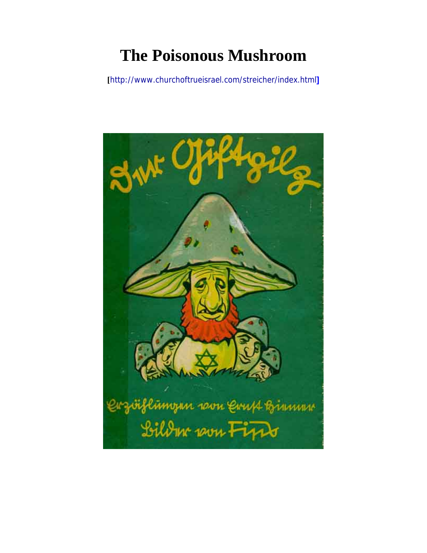# **The Poisonous Mushroom**

**[**http://www.churchoftrueisrael.com/streicher/index.html**]** 

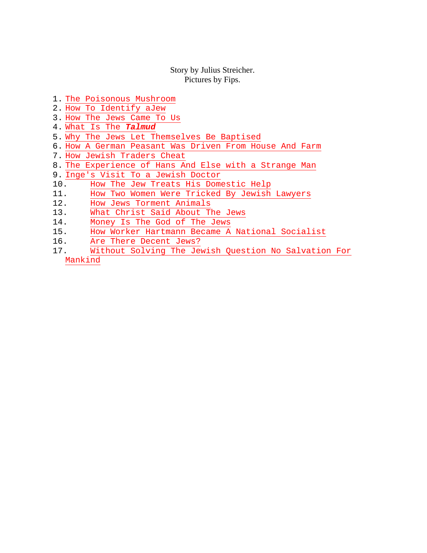#### Story by Julius Streicher. Pictures by Fips.

- 1. The Poisonous Mushroom
- 2. How To Identify aJew
- 3. How The Jews Came To Us
- 4. What Is The *Talmud*
- 5. Why The Jews Let Themselves Be Baptised
- 6. How A German Peasant Was Driven From House And Farm
- 7. How Jewish Traders Cheat
- 8. The Experience of Hans And Else with a Strange Man
- 9. Inge's Visit To a Jewish Doctor
- 10. How The Jew Treats His Domestic Help
- 11. How Two Women Were Tricked By Jewish Lawyers
- 12. How Jews Torment Animals
- 13. What Christ Said About The Jews
- 14. Money Is The God of The Jews
- 15. How Worker Hartmann Became A National Socialist
- 16. Are There Decent Jews?
- 17. Without Solving The Jewish Question No Salvation For Mankind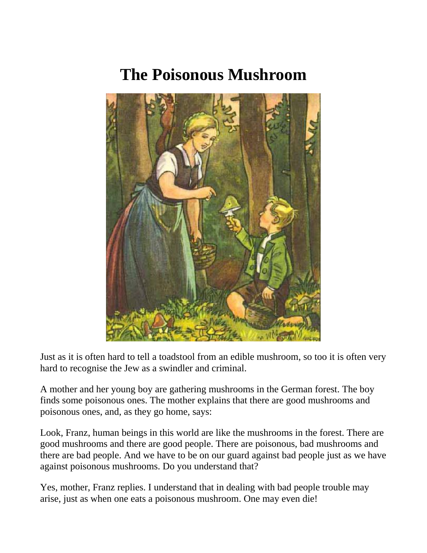# **The Poisonous Mushroom**



Just as it is often hard to tell a toadstool from an edible mushroom, so too it is often very hard to recognise the Jew as a swindler and criminal.

A mother and her young boy are gathering mushrooms in the German forest. The boy finds some poisonous ones. The mother explains that there are good mushrooms and poisonous ones, and, as they go home, says:

Look, Franz, human beings in this world are like the mushrooms in the forest. There are good mushrooms and there are good people. There are poisonous, bad mushrooms and there are bad people. And we have to be on our guard against bad people just as we have against poisonous mushrooms. Do you understand that?

Yes, mother, Franz replies. I understand that in dealing with bad people trouble may arise, just as when one eats a poisonous mushroom. One may even die!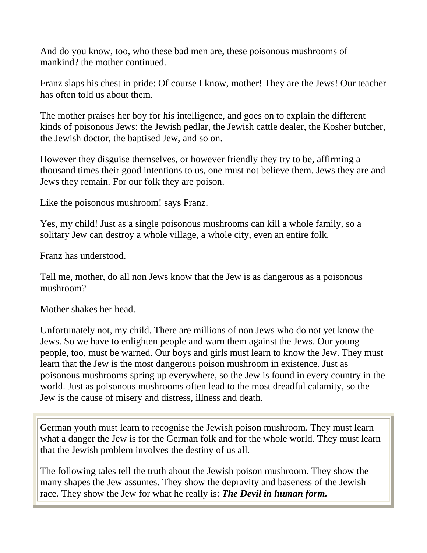And do you know, too, who these bad men are, these poisonous mushrooms of mankind? the mother continued.

Franz slaps his chest in pride: Of course I know, mother! They are the Jews! Our teacher has often told us about them.

The mother praises her boy for his intelligence, and goes on to explain the different kinds of poisonous Jews: the Jewish pedlar, the Jewish cattle dealer, the Kosher butcher, the Jewish doctor, the baptised Jew, and so on.

However they disguise themselves, or however friendly they try to be, affirming a thousand times their good intentions to us, one must not believe them. Jews they are and Jews they remain. For our folk they are poison.

Like the poisonous mushroom! says Franz.

Yes, my child! Just as a single poisonous mushrooms can kill a whole family, so a solitary Jew can destroy a whole village, a whole city, even an entire folk.

Franz has understood.

Tell me, mother, do all non Jews know that the Jew is as dangerous as a poisonous mushroom?

Mother shakes her head.

Unfortunately not, my child. There are millions of non Jews who do not yet know the Jews. So we have to enlighten people and warn them against the Jews. Our young people, too, must be warned. Our boys and girls must learn to know the Jew. They must learn that the Jew is the most dangerous poison mushroom in existence. Just as poisonous mushrooms spring up everywhere, so the Jew is found in every country in the world. Just as poisonous mushrooms often lead to the most dreadful calamity, so the Jew is the cause of misery and distress, illness and death.

German youth must learn to recognise the Jewish poison mushroom. They must learn what a danger the Jew is for the German folk and for the whole world. They must learn that the Jewish problem involves the destiny of us all.

The following tales tell the truth about the Jewish poison mushroom. They show the many shapes the Jew assumes. They show the depravity and baseness of the Jewish race. They show the Jew for what he really is: *The Devil in human form.*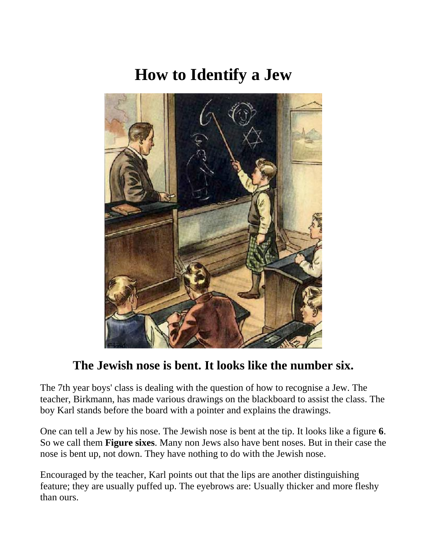# **How to Identify a Jew**



### **The Jewish nose is bent. It looks like the number six.**

The 7th year boys' class is dealing with the question of how to recognise a Jew. The teacher, Birkmann, has made various drawings on the blackboard to assist the class. The boy Karl stands before the board with a pointer and explains the drawings.

One can tell a Jew by his nose. The Jewish nose is bent at the tip. It looks like a figure **6**. So we call them **Figure sixes**. Many non Jews also have bent noses. But in their case the nose is bent up, not down. They have nothing to do with the Jewish nose.

Encouraged by the teacher, Karl points out that the lips are another distinguishing feature; they are usually puffed up. The eyebrows are: Usually thicker and more fleshy than ours.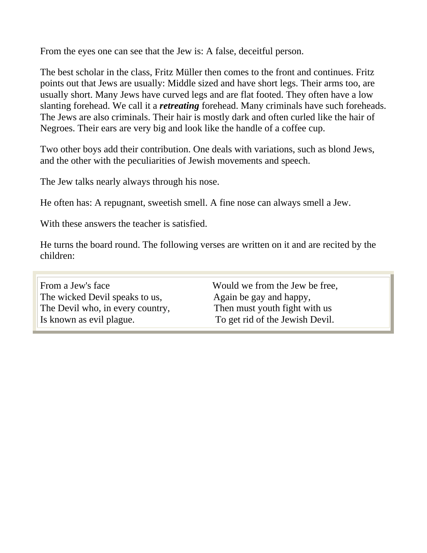From the eyes one can see that the Jew is: A false, deceitful person.

The best scholar in the class, Fritz Müller then comes to the front and continues. Fritz points out that Jews are usually: Middle sized and have short legs. Their arms too, are usually short. Many Jews have curved legs and are flat footed. They often have a low slanting forehead. We call it a *retreating* forehead. Many criminals have such foreheads. The Jews are also criminals. Their hair is mostly dark and often curled like the hair of Negroes. Their ears are very big and look like the handle of a coffee cup.

Two other boys add their contribution. One deals with variations, such as blond Jews, and the other with the peculiarities of Jewish movements and speech.

The Jew talks nearly always through his nose.

He often has: A repugnant, sweetish smell. A fine nose can always smell a Jew.

With these answers the teacher is satisfied.

He turns the board round. The following verses are written on it and are recited by the children:

| From a Jew's face                | Would we from the Jew be free.  |
|----------------------------------|---------------------------------|
| The wicked Devil speaks to us,   | Again be gay and happy,         |
| The Devil who, in every country, | Then must youth fight with us   |
| Is known as evil plague.         | To get rid of the Jewish Devil. |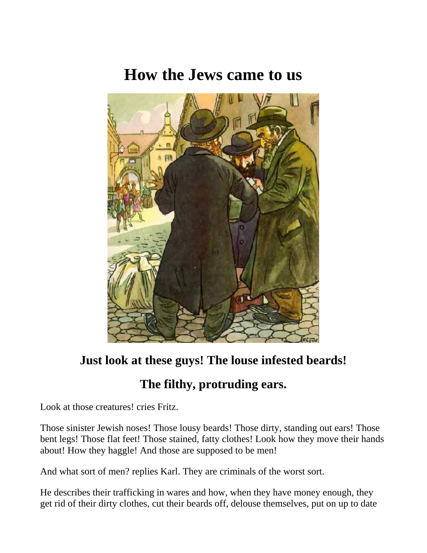## **How the Jews came to us**



### **Just look at these guys! The louse infested beards!**

### **The filthy, protruding ears.**

Look at those creatures! cries Fritz.

Those sinister Jewish noses! Those lousy beards! Those dirty, standing out ears! Those bent legs! Those flat feet! Those stained, fatty clothes! Look how they move their hands about! How they haggle! And those are supposed to be men!

And what sort of men? replies Karl. They are criminals of the worst sort.

He describes their trafficking in wares and how, when they have money enough, they get rid of their dirty clothes, cut their beards off, delouse themselves, put on up to date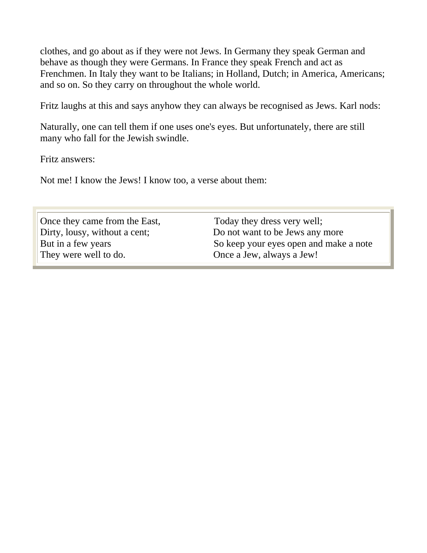clothes, and go about as if they were not Jews. In Germany they speak German and behave as though they were Germans. In France they speak French and act as Frenchmen. In Italy they want to be Italians; in Holland, Dutch; in America, Americans; and so on. So they carry on throughout the whole world.

Fritz laughs at this and says anyhow they can always be recognised as Jews. Karl nods:

Naturally, one can tell them if one uses one's eyes. But unfortunately, there are still many who fall for the Jewish swindle.

Fritz answers:

Not me! I know the Jews! I know too, a verse about them:

| Once they came from the East, | Today they dress very well;            |
|-------------------------------|----------------------------------------|
| Dirty, lousy, without a cent; | Do not want to be Jews any more        |
| But in a few years            | So keep your eyes open and make a note |
| They were well to do.         | Once a Jew, always a Jew!              |

è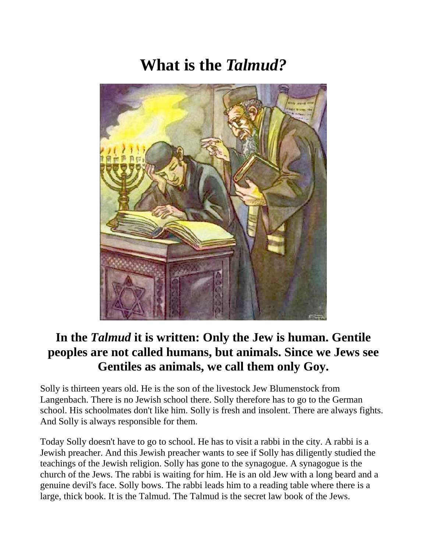## **What is the** *Talmud?*



### **In the** *Talmud* **it is written: Only the Jew is human. Gentile peoples are not called humans, but animals. Since we Jews see Gentiles as animals, we call them only Goy.**

Solly is thirteen years old. He is the son of the livestock Jew Blumenstock from Langenbach. There is no Jewish school there. Solly therefore has to go to the German school. His schoolmates don't like him. Solly is fresh and insolent. There are always fights. And Solly is always responsible for them.

Today Solly doesn't have to go to school. He has to visit a rabbi in the city. A rabbi is a Jewish preacher. And this Jewish preacher wants to see if Solly has diligently studied the teachings of the Jewish religion. Solly has gone to the synagogue. A synagogue is the church of the Jews. The rabbi is waiting for him. He is an old Jew with a long beard and a genuine devil's face. Solly bows. The rabbi leads him to a reading table where there is a large, thick book. It is the Talmud. The Talmud is the secret law book of the Jews.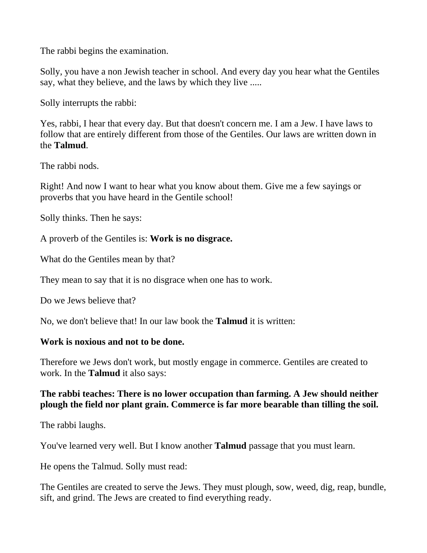The rabbi begins the examination.

Solly, you have a non Jewish teacher in school. And every day you hear what the Gentiles say, what they believe, and the laws by which they live .....

Solly interrupts the rabbi:

Yes, rabbi, I hear that every day. But that doesn't concern me. I am a Jew. I have laws to follow that are entirely different from those of the Gentiles. Our laws are written down in the **Talmud**.

The rabbi nods.

Right! And now I want to hear what you know about them. Give me a few sayings or proverbs that you have heard in the Gentile school!

Solly thinks. Then he says:

A proverb of the Gentiles is: **Work is no disgrace.**

What do the Gentiles mean by that?

They mean to say that it is no disgrace when one has to work.

Do we Jews believe that?

No, we don't believe that! In our law book the **Talmud** it is written:

#### **Work is noxious and not to be done.**

Therefore we Jews don't work, but mostly engage in commerce. Gentiles are created to work. In the **Talmud** it also says:

#### **The rabbi teaches: There is no lower occupation than farming. A Jew should neither plough the field nor plant grain. Commerce is far more bearable than tilling the soil.**

The rabbi laughs.

You've learned very well. But I know another **Talmud** passage that you must learn.

He opens the Talmud. Solly must read:

The Gentiles are created to serve the Jews. They must plough, sow, weed, dig, reap, bundle, sift, and grind. The Jews are created to find everything ready.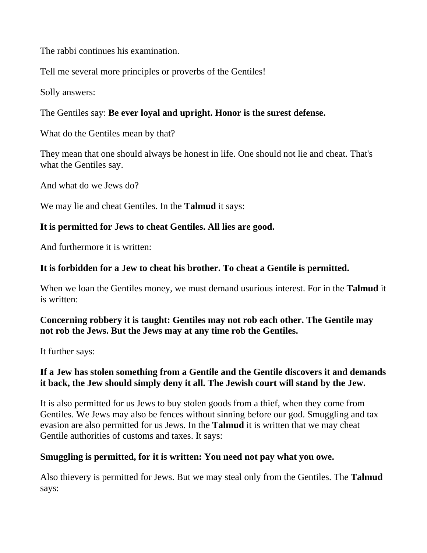The rabbi continues his examination.

Tell me several more principles or proverbs of the Gentiles!

Solly answers:

### The Gentiles say: **Be ever loyal and upright. Honor is the surest defense.**

What do the Gentiles mean by that?

They mean that one should always be honest in life. One should not lie and cheat. That's what the Gentiles say.

And what do we Jews do?

We may lie and cheat Gentiles. In the **Talmud** it says:

### **It is permitted for Jews to cheat Gentiles. All lies are good.**

And furthermore it is written:

### **It is forbidden for a Jew to cheat his brother. To cheat a Gentile is permitted.**

When we loan the Gentiles money, we must demand usurious interest. For in the **Talmud** it is written:

#### **Concerning robbery it is taught: Gentiles may not rob each other. The Gentile may not rob the Jews. But the Jews may at any time rob the Gentiles.**

It further says:

### **If a Jew has stolen something from a Gentile and the Gentile discovers it and demands it back, the Jew should simply deny it all. The Jewish court will stand by the Jew.**

It is also permitted for us Jews to buy stolen goods from a thief, when they come from Gentiles. We Jews may also be fences without sinning before our god. Smuggling and tax evasion are also permitted for us Jews. In the **Talmud** it is written that we may cheat Gentile authorities of customs and taxes. It says:

#### **Smuggling is permitted, for it is written: You need not pay what you owe.**

Also thievery is permitted for Jews. But we may steal only from the Gentiles. The **Talmud** says: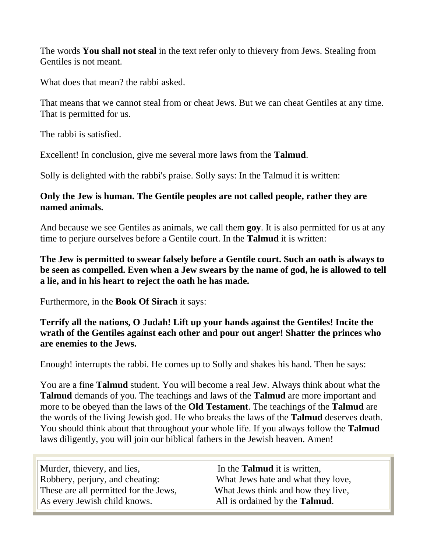The words **You shall not steal** in the text refer only to thievery from Jews. Stealing from Gentiles is not meant.

What does that mean? the rabbi asked.

That means that we cannot steal from or cheat Jews. But we can cheat Gentiles at any time. That is permitted for us.

The rabbi is satisfied.

Excellent! In conclusion, give me several more laws from the **Talmud**.

Solly is delighted with the rabbi's praise. Solly says: In the Talmud it is written:

#### **Only the Jew is human. The Gentile peoples are not called people, rather they are named animals.**

And because we see Gentiles as animals, we call them **goy**. It is also permitted for us at any time to perjure ourselves before a Gentile court. In the **Talmud** it is written:

**The Jew is permitted to swear falsely before a Gentile court. Such an oath is always to be seen as compelled. Even when a Jew swears by the name of god, he is allowed to tell a lie, and in his heart to reject the oath he has made.**

Furthermore, in the **Book Of Sirach** it says:

#### **Terrify all the nations, O Judah! Lift up your hands against the Gentiles! Incite the wrath of the Gentiles against each other and pour out anger! Shatter the princes who are enemies to the Jews.**

Enough! interrupts the rabbi. He comes up to Solly and shakes his hand. Then he says:

You are a fine **Talmud** student. You will become a real Jew. Always think about what the **Talmud** demands of you. The teachings and laws of the **Talmud** are more important and more to be obeyed than the laws of the **Old Testament**. The teachings of the **Talmud** are the words of the living Jewish god. He who breaks the laws of the **Talmud** deserves death. You should think about that throughout your whole life. If you always follow the **Talmud** laws diligently, you will join our biblical fathers in the Jewish heaven. Amen!

Murder, thievery, and lies, In the **Talmud** it is written, Robbery, perjury, and cheating: What Jews hate and what they love, These are all permitted for the Jews, What Jews think and how they live, As every Jewish child knows. All is ordained by the **Talmud**.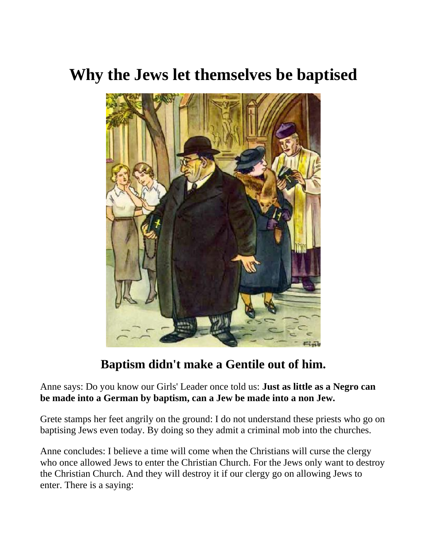# **Why the Jews let themselves be baptised**



### **Baptism didn't make a Gentile out of him.**

Anne says: Do you know our Girls' Leader once told us: **Just as little as a Negro can be made into a German by baptism, can a Jew be made into a non Jew.**

Grete stamps her feet angrily on the ground: I do not understand these priests who go on baptising Jews even today. By doing so they admit a criminal mob into the churches.

Anne concludes: I believe a time will come when the Christians will curse the clergy who once allowed Jews to enter the Christian Church. For the Jews only want to destroy the Christian Church. And they will destroy it if our clergy go on allowing Jews to enter. There is a saying: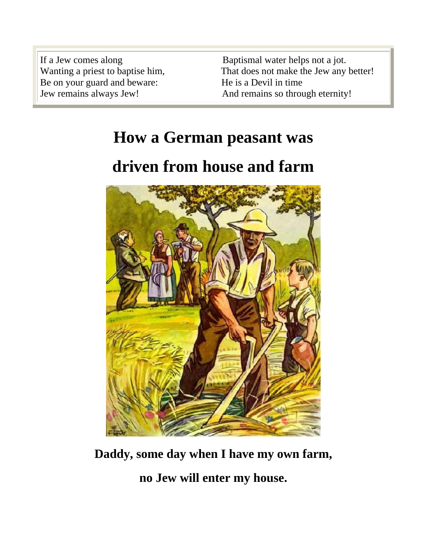If a Jew comes along Baptismal water helps not a jot. Be on your guard and beware: He is a Devil in time

Wanting a priest to baptise him, That does not make the Jew any better! Jew remains always Jew! And remains so through eternity!

# **How a German peasant was**

# **driven from house and farm**



**Daddy, some day when I have my own farm, no Jew will enter my house.**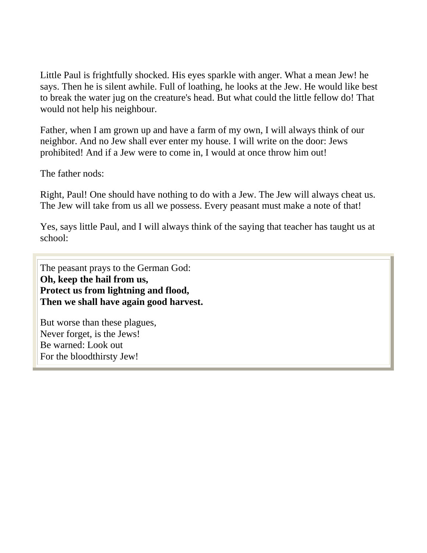Little Paul is frightfully shocked. His eyes sparkle with anger. What a mean Jew! he says. Then he is silent awhile. Full of loathing, he looks at the Jew. He would like best to break the water jug on the creature's head. But what could the little fellow do! That would not help his neighbour.

Father, when I am grown up and have a farm of my own, I will always think of our neighbor. And no Jew shall ever enter my house. I will write on the door: Jews prohibited! And if a Jew were to come in, I would at once throw him out!

The father nods:

Right, Paul! One should have nothing to do with a Jew. The Jew will always cheat us. The Jew will take from us all we possess. Every peasant must make a note of that!

Yes, says little Paul, and I will always think of the saying that teacher has taught us at school:

The peasant prays to the German God: **Oh, keep the hail from us, Protect us from lightning and flood, Then we shall have again good harvest.**

But worse than these plagues, Never forget, is the Jews! Be warned: Look out For the bloodthirsty Jew!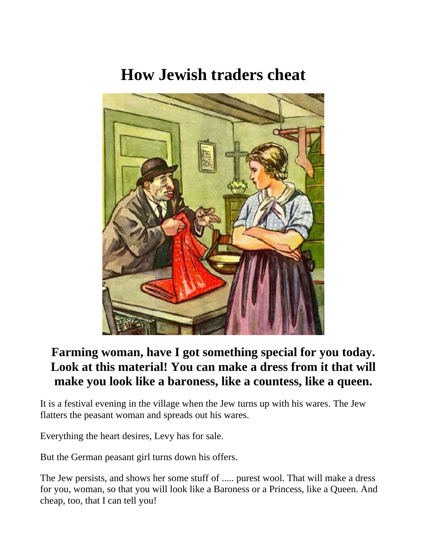# **How Jewish traders cheat**



### **Farming woman, have I got something special for you today. Look at this material! You can make a dress from it that will make you look like a baroness, like a countess, like a queen.**

It is a festival evening in the village when the Jew turns up with his wares. The Jew flatters the peasant woman and spreads out his wares.

Everything the heart desires, Levy has for sale.

But the German peasant girl turns down his offers.

The Jew persists, and shows her some stuff of ..... purest wool. That will make a dress for you, woman, so that you will look like a Baroness or a Princess, like a Queen. And cheap, too, that I can tell you!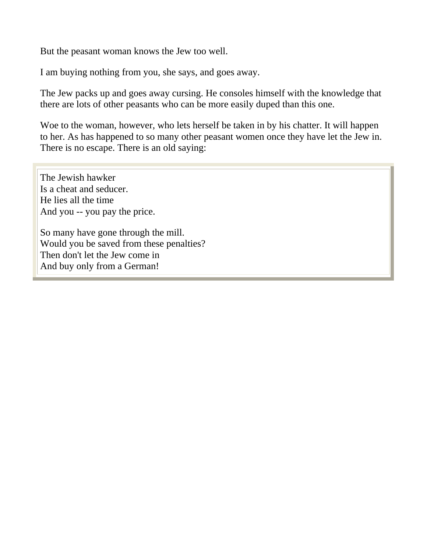But the peasant woman knows the Jew too well.

I am buying nothing from you, she says, and goes away.

The Jew packs up and goes away cursing. He consoles himself with the knowledge that there are lots of other peasants who can be more easily duped than this one.

Woe to the woman, however, who lets herself be taken in by his chatter. It will happen to her. As has happened to so many other peasant women once they have let the Jew in. There is no escape. There is an old saying:

The Jewish hawker Is a cheat and seducer. He lies all the time And you -- you pay the price.

So many have gone through the mill. Would you be saved from these penalties? Then don't let the Jew come in And buy only from a German!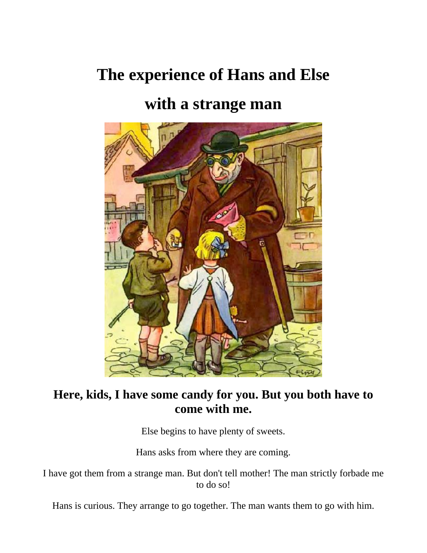## **The experience of Hans and Else**

## **with a strange man**



### **Here, kids, I have some candy for you. But you both have to come with me.**

Else begins to have plenty of sweets.

Hans asks from where they are coming.

I have got them from a strange man. But don't tell mother! The man strictly forbade me to do so!

Hans is curious. They arrange to go together. The man wants them to go with him.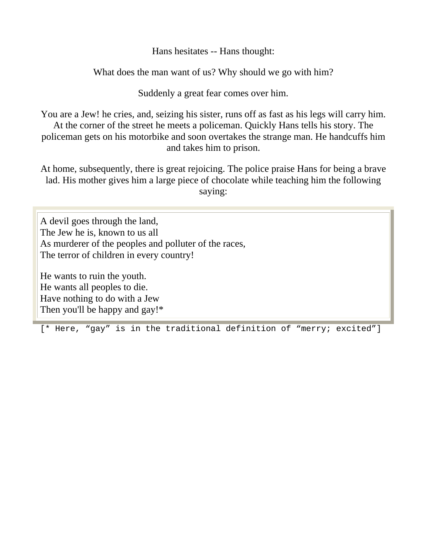Hans hesitates -- Hans thought:

What does the man want of us? Why should we go with him?

Suddenly a great fear comes over him.

You are a Jew! he cries, and, seizing his sister, runs off as fast as his legs will carry him. At the corner of the street he meets a policeman. Quickly Hans tells his story. The policeman gets on his motorbike and soon overtakes the strange man. He handcuffs him and takes him to prison.

At home, subsequently, there is great rejoicing. The police praise Hans for being a brave lad. His mother gives him a large piece of chocolate while teaching him the following saying:

A devil goes through the land, The Jew he is, known to us all As murderer of the peoples and polluter of the races, The terror of children in every country!

He wants to ruin the youth. He wants all peoples to die. Have nothing to do with a Jew Then you'll be happy and gay!\*

[\* Here, "gay" is in the traditional definition of "merry; excited"]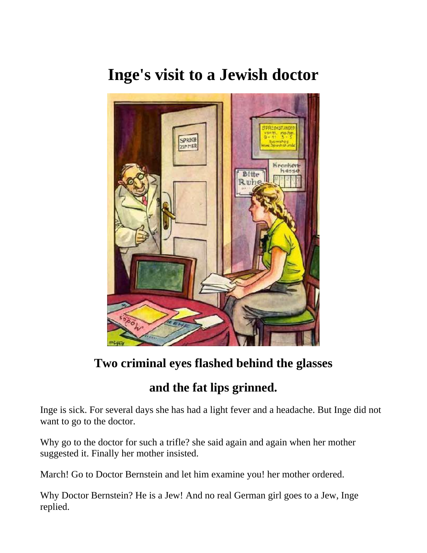# **Inge's visit to a Jewish doctor**



### **Two criminal eyes flashed behind the glasses**

## **and the fat lips grinned.**

Inge is sick. For several days she has had a light fever and a headache. But Inge did not want to go to the doctor.

Why go to the doctor for such a trifle? she said again and again when her mother suggested it. Finally her mother insisted.

March! Go to Doctor Bernstein and let him examine you! her mother ordered.

Why Doctor Bernstein? He is a Jew! And no real German girl goes to a Jew, Inge replied.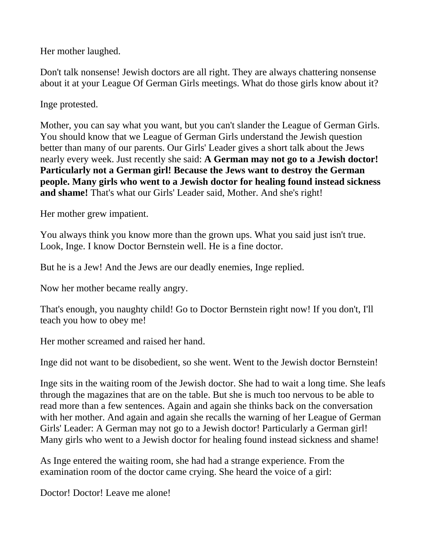Her mother laughed.

Don't talk nonsense! Jewish doctors are all right. They are always chattering nonsense about it at your League Of German Girls meetings. What do those girls know about it?

Inge protested.

Mother, you can say what you want, but you can't slander the League of German Girls. You should know that we League of German Girls understand the Jewish question better than many of our parents. Our Girls' Leader gives a short talk about the Jews nearly every week. Just recently she said: **A German may not go to a Jewish doctor! Particularly not a German girl! Because the Jews want to destroy the German people. Many girls who went to a Jewish doctor for healing found instead sickness and shame!** That's what our Girls' Leader said, Mother. And she's right!

Her mother grew impatient.

You always think you know more than the grown ups. What you said just isn't true. Look, Inge. I know Doctor Bernstein well. He is a fine doctor.

But he is a Jew! And the Jews are our deadly enemies, Inge replied.

Now her mother became really angry.

That's enough, you naughty child! Go to Doctor Bernstein right now! If you don't, I'll teach you how to obey me!

Her mother screamed and raised her hand.

Inge did not want to be disobedient, so she went. Went to the Jewish doctor Bernstein!

Inge sits in the waiting room of the Jewish doctor. She had to wait a long time. She leafs through the magazines that are on the table. But she is much too nervous to be able to read more than a few sentences. Again and again she thinks back on the conversation with her mother. And again and again she recalls the warning of her League of German Girls' Leader: A German may not go to a Jewish doctor! Particularly a German girl! Many girls who went to a Jewish doctor for healing found instead sickness and shame!

As Inge entered the waiting room, she had had a strange experience. From the examination room of the doctor came crying. She heard the voice of a girl:

Doctor! Doctor! Leave me alone!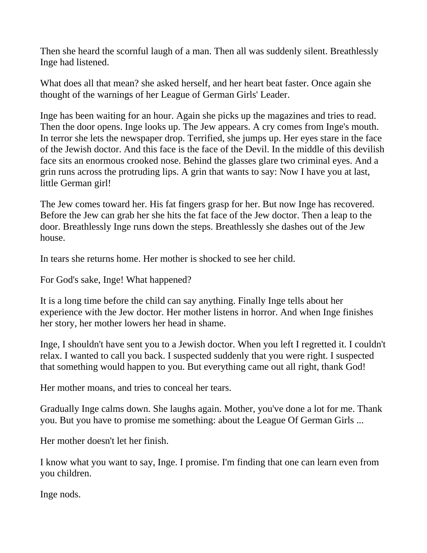Then she heard the scornful laugh of a man. Then all was suddenly silent. Breathlessly Inge had listened.

What does all that mean? she asked herself, and her heart beat faster. Once again she thought of the warnings of her League of German Girls' Leader.

Inge has been waiting for an hour. Again she picks up the magazines and tries to read. Then the door opens. Inge looks up. The Jew appears. A cry comes from Inge's mouth. In terror she lets the newspaper drop. Terrified, she jumps up. Her eyes stare in the face of the Jewish doctor. And this face is the face of the Devil. In the middle of this devilish face sits an enormous crooked nose. Behind the glasses glare two criminal eyes. And a grin runs across the protruding lips. A grin that wants to say: Now I have you at last, little German girl!

The Jew comes toward her. His fat fingers grasp for her. But now Inge has recovered. Before the Jew can grab her she hits the fat face of the Jew doctor. Then a leap to the door. Breathlessly Inge runs down the steps. Breathlessly she dashes out of the Jew house.

In tears she returns home. Her mother is shocked to see her child.

For God's sake, Inge! What happened?

It is a long time before the child can say anything. Finally Inge tells about her experience with the Jew doctor. Her mother listens in horror. And when Inge finishes her story, her mother lowers her head in shame.

Inge, I shouldn't have sent you to a Jewish doctor. When you left I regretted it. I couldn't relax. I wanted to call you back. I suspected suddenly that you were right. I suspected that something would happen to you. But everything came out all right, thank God!

Her mother moans, and tries to conceal her tears.

Gradually Inge calms down. She laughs again. Mother, you've done a lot for me. Thank you. But you have to promise me something: about the League Of German Girls ...

Her mother doesn't let her finish.

I know what you want to say, Inge. I promise. I'm finding that one can learn even from you children.

Inge nods.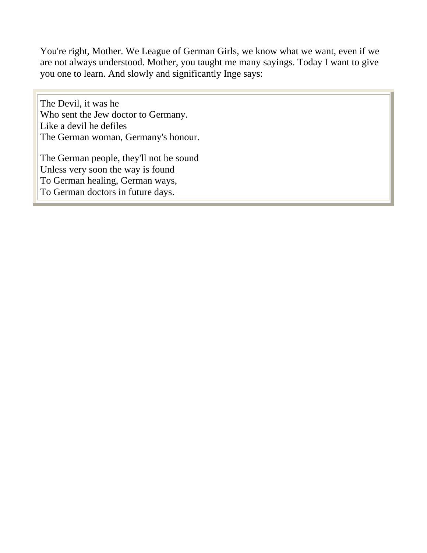You're right, Mother. We League of German Girls, we know what we want, even if we are not always understood. Mother, you taught me many sayings. Today I want to give you one to learn. And slowly and significantly Inge says:

The Devil, it was he Who sent the Jew doctor to Germany. Like a devil he defiles The German woman, Germany's honour.

The German people, they'll not be sound Unless very soon the way is found To German healing, German ways, To German doctors in future days.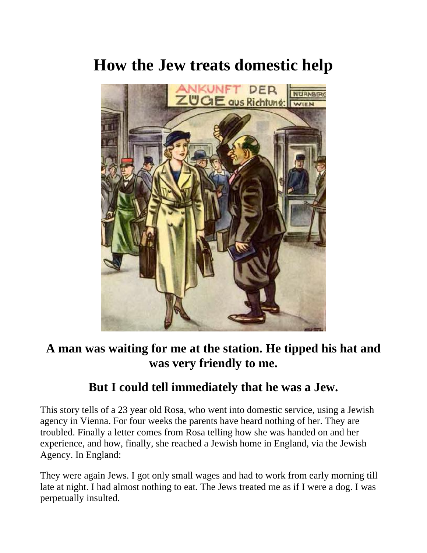# **How the Jew treats domestic help**



### **A man was waiting for me at the station. He tipped his hat and was very friendly to me.**

### **But I could tell immediately that he was a Jew.**

This story tells of a 23 year old Rosa, who went into domestic service, using a Jewish agency in Vienna. For four weeks the parents have heard nothing of her. They are troubled. Finally a letter comes from Rosa telling how she was handed on and her experience, and how, finally, she reached a Jewish home in England, via the Jewish Agency. In England:

They were again Jews. I got only small wages and had to work from early morning till late at night. I had almost nothing to eat. The Jews treated me as if I were a dog. I was perpetually insulted.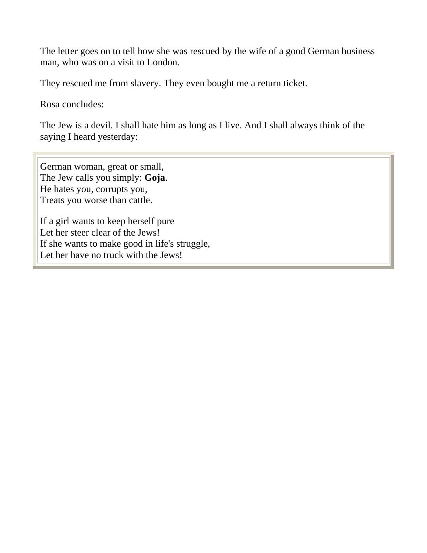The letter goes on to tell how she was rescued by the wife of a good German business man, who was on a visit to London.

They rescued me from slavery. They even bought me a return ticket.

Rosa concludes:

The Jew is a devil. I shall hate him as long as I live. And I shall always think of the saying I heard yesterday:

German woman, great or small, The Jew calls you simply: **Goja**. He hates you, corrupts you, Treats you worse than cattle.

If a girl wants to keep herself pure Let her steer clear of the Jews! If she wants to make good in life's struggle, Let her have no truck with the Jews!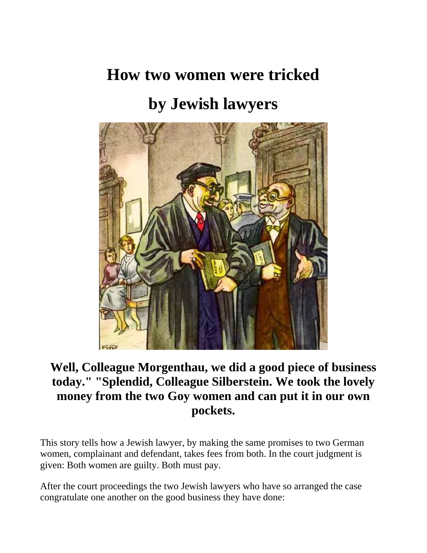# **How two women were tricked**

# **by Jewish lawyers**



### **Well, Colleague Morgenthau, we did a good piece of business today." "Splendid, Colleague Silberstein. We took the lovely money from the two Goy women and can put it in our own pockets.**

This story tells how a Jewish lawyer, by making the same promises to two German women, complainant and defendant, takes fees from both. In the court judgment is given: Both women are guilty. Both must pay.

After the court proceedings the two Jewish lawyers who have so arranged the case congratulate one another on the good business they have done: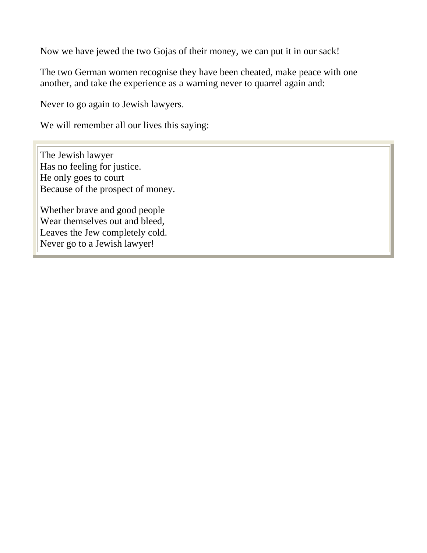Now we have jewed the two Gojas of their money, we can put it in our sack!

The two German women recognise they have been cheated, make peace with one another, and take the experience as a warning never to quarrel again and:

Never to go again to Jewish lawyers.

We will remember all our lives this saying:

The Jewish lawyer Has no feeling for justice. He only goes to court Because of the prospect of money.

Whether brave and good people Wear themselves out and bleed, Leaves the Jew completely cold. Never go to a Jewish lawyer!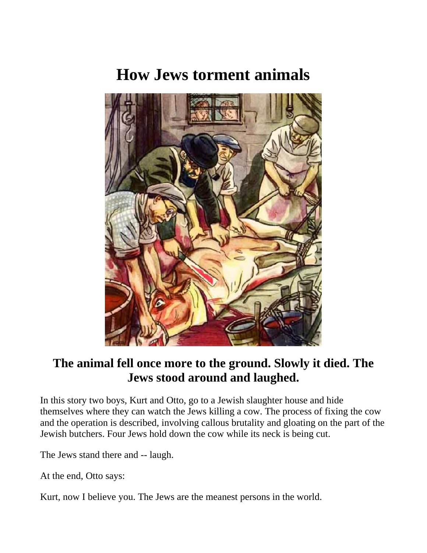## **How Jews torment animals**



### **The animal fell once more to the ground. Slowly it died. The Jews stood around and laughed.**

In this story two boys, Kurt and Otto, go to a Jewish slaughter house and hide themselves where they can watch the Jews killing a cow. The process of fixing the cow and the operation is described, involving callous brutality and gloating on the part of the Jewish butchers. Four Jews hold down the cow while its neck is being cut.

The Jews stand there and -- laugh.

At the end, Otto says:

Kurt, now I believe you. The Jews are the meanest persons in the world.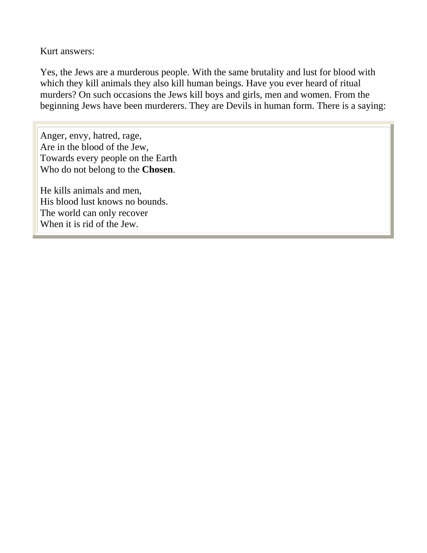Kurt answers:

Yes, the Jews are a murderous people. With the same brutality and lust for blood with which they kill animals they also kill human beings. Have you ever heard of ritual murders? On such occasions the Jews kill boys and girls, men and women. From the beginning Jews have been murderers. They are Devils in human form. There is a saying:

Anger, envy, hatred, rage, Are in the blood of the Jew, Towards every people on the Earth Who do not belong to the **Chosen**.

He kills animals and men, His blood lust knows no bounds. The world can only recover When it is rid of the Jew.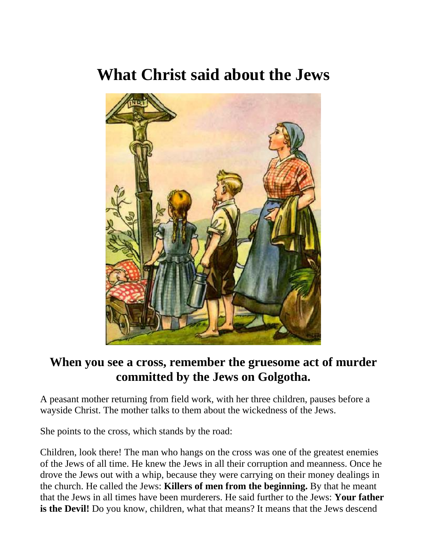# **What Christ said about the Jews**



### **When you see a cross, remember the gruesome act of murder committed by the Jews on Golgotha.**

A peasant mother returning from field work, with her three children, pauses before a wayside Christ. The mother talks to them about the wickedness of the Jews.

She points to the cross, which stands by the road:

Children, look there! The man who hangs on the cross was one of the greatest enemies of the Jews of all time. He knew the Jews in all their corruption and meanness. Once he drove the Jews out with a whip, because they were carrying on their money dealings in the church. He called the Jews: **Killers of men from the beginning.** By that he meant that the Jews in all times have been murderers. He said further to the Jews: **Your father is the Devil!** Do you know, children, what that means? It means that the Jews descend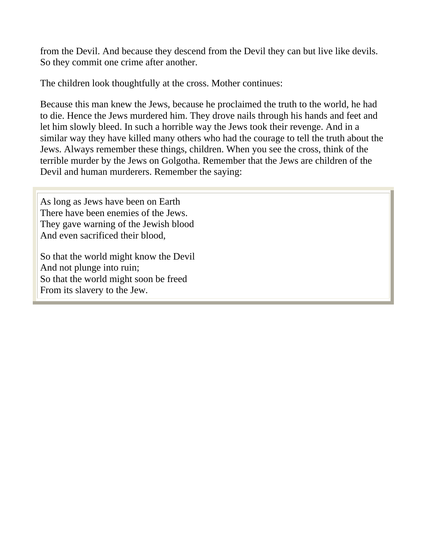from the Devil. And because they descend from the Devil they can but live like devils. So they commit one crime after another.

The children look thoughtfully at the cross. Mother continues:

Because this man knew the Jews, because he proclaimed the truth to the world, he had to die. Hence the Jews murdered him. They drove nails through his hands and feet and let him slowly bleed. In such a horrible way the Jews took their revenge. And in a similar way they have killed many others who had the courage to tell the truth about the Jews. Always remember these things, children. When you see the cross, think of the terrible murder by the Jews on Golgotha. Remember that the Jews are children of the Devil and human murderers. Remember the saying:

As long as Jews have been on Earth There have been enemies of the Jews. They gave warning of the Jewish blood And even sacrificed their blood,

So that the world might know the Devil And not plunge into ruin; So that the world might soon be freed From its slavery to the Jew.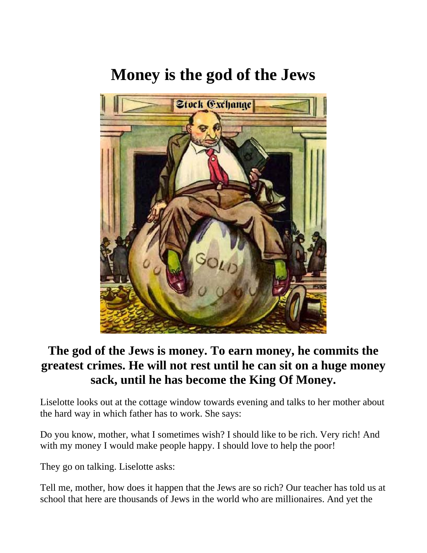# **Money is the god of the Jews**



### **The god of the Jews is money. To earn money, he commits the greatest crimes. He will not rest until he can sit on a huge money sack, until he has become the King Of Money.**

Liselotte looks out at the cottage window towards evening and talks to her mother about the hard way in which father has to work. She says:

Do you know, mother, what I sometimes wish? I should like to be rich. Very rich! And with my money I would make people happy. I should love to help the poor!

They go on talking. Liselotte asks:

Tell me, mother, how does it happen that the Jews are so rich? Our teacher has told us at school that here are thousands of Jews in the world who are millionaires. And yet the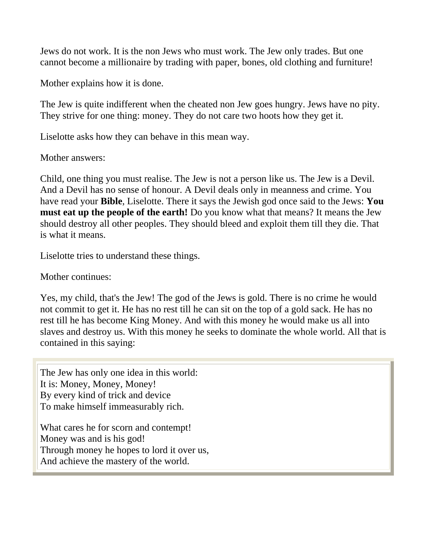Jews do not work. It is the non Jews who must work. The Jew only trades. But one cannot become a millionaire by trading with paper, bones, old clothing and furniture!

Mother explains how it is done.

The Jew is quite indifferent when the cheated non Jew goes hungry. Jews have no pity. They strive for one thing: money. They do not care two hoots how they get it.

Liselotte asks how they can behave in this mean way.

Mother answers:

Child, one thing you must realise. The Jew is not a person like us. The Jew is a Devil. And a Devil has no sense of honour. A Devil deals only in meanness and crime. You have read your **Bible**, Liselotte. There it says the Jewish god once said to the Jews: **You must eat up the people of the earth!** Do you know what that means? It means the Jew should destroy all other peoples. They should bleed and exploit them till they die. That is what it means.

Liselotte tries to understand these things.

Mother continues:

Yes, my child, that's the Jew! The god of the Jews is gold. There is no crime he would not commit to get it. He has no rest till he can sit on the top of a gold sack. He has no rest till he has become King Money. And with this money he would make us all into slaves and destroy us. With this money he seeks to dominate the whole world. All that is contained in this saying:

The Jew has only one idea in this world: It is: Money, Money, Money! By every kind of trick and device To make himself immeasurably rich.

What cares he for scorn and contempt! Money was and is his god! Through money he hopes to lord it over us, And achieve the mastery of the world.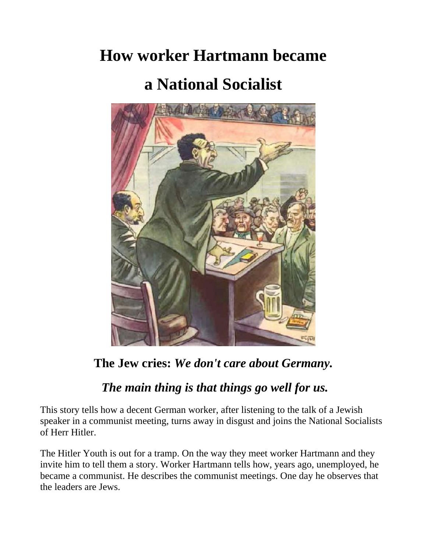## **How worker Hartmann became**

# **a National Socialist**



## **The Jew cries:** *We don't care about Germany.*

## *The main thing is that things go well for us.*

This story tells how a decent German worker, after listening to the talk of a Jewish speaker in a communist meeting, turns away in disgust and joins the National Socialists of Herr Hitler.

The Hitler Youth is out for a tramp. On the way they meet worker Hartmann and they invite him to tell them a story. Worker Hartmann tells how, years ago, unemployed, he became a communist. He describes the communist meetings. One day he observes that the leaders are Jews.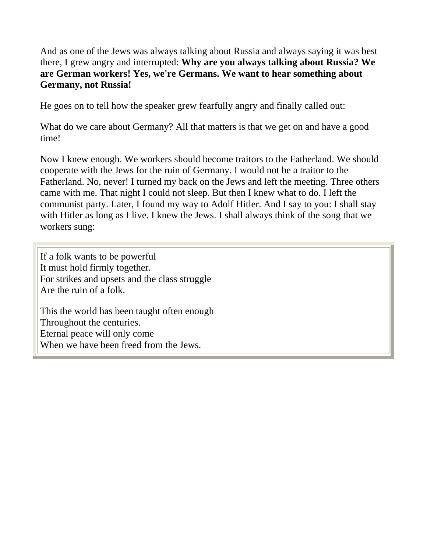And as one of the Jews was always talking about Russia and always saying it was best there, I grew angry and interrupted: **Why are you always talking about Russia? We are German workers! Yes, we're Germans. We want to hear something about Germany, not Russia!**

He goes on to tell how the speaker grew fearfully angry and finally called out:

What do we care about Germany? All that matters is that we get on and have a good time!

Now I knew enough. We workers should become traitors to the Fatherland. We should cooperate with the Jews for the ruin of Germany. I would not be a traitor to the Fatherland. No, never! I turned my back on the Jews and left the meeting. Three others came with me. That night I could not sleep. But then I knew what to do. I left the communist party. Later, I found my way to Adolf Hitler. And I say to you: I shall stay with Hitler as long as I live. I knew the Jews. I shall always think of the song that we workers sung:

If a folk wants to be powerful It must hold firmly together. For strikes and upsets and the class struggle Are the ruin of a folk.

This the world has been taught often enough Throughout the centuries. Eternal peace will only come When we have been freed from the Jews.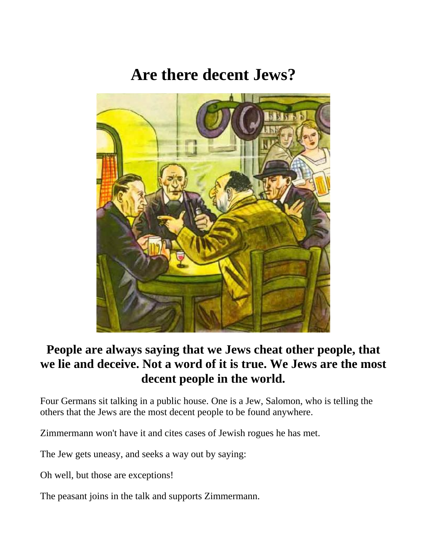# **Are there decent Jews?**



### **People are always saying that we Jews cheat other people, that we lie and deceive. Not a word of it is true. We Jews are the most decent people in the world.**

Four Germans sit talking in a public house. One is a Jew, Salomon, who is telling the others that the Jews are the most decent people to be found anywhere.

Zimmermann won't have it and cites cases of Jewish rogues he has met.

The Jew gets uneasy, and seeks a way out by saying:

Oh well, but those are exceptions!

The peasant joins in the talk and supports Zimmermann.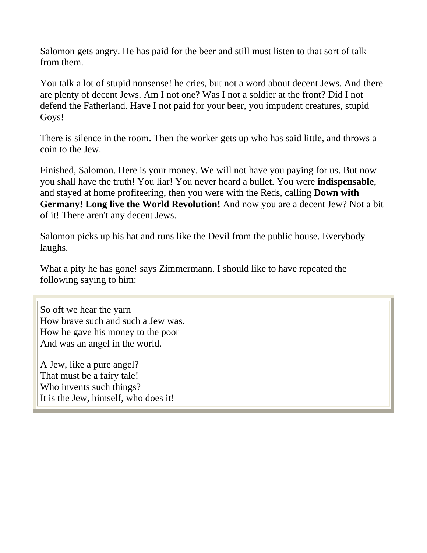Salomon gets angry. He has paid for the beer and still must listen to that sort of talk from them.

You talk a lot of stupid nonsense! he cries, but not a word about decent Jews. And there are plenty of decent Jews. Am I not one? Was I not a soldier at the front? Did I not defend the Fatherland. Have I not paid for your beer, you impudent creatures, stupid Goys!

There is silence in the room. Then the worker gets up who has said little, and throws a coin to the Jew.

Finished, Salomon. Here is your money. We will not have you paying for us. But now you shall have the truth! You liar! You never heard a bullet. You were **indispensable**, and stayed at home profiteering, then you were with the Reds, calling **Down with Germany! Long live the World Revolution!** And now you are a decent Jew? Not a bit of it! There aren't any decent Jews.

Salomon picks up his hat and runs like the Devil from the public house. Everybody laughs.

What a pity he has gone! says Zimmermann. I should like to have repeated the following saying to him:

So oft we hear the yarn How brave such and such a Jew was. How he gave his money to the poor And was an angel in the world.

A Jew, like a pure angel? That must be a fairy tale! Who invents such things? It is the Jew, himself, who does it!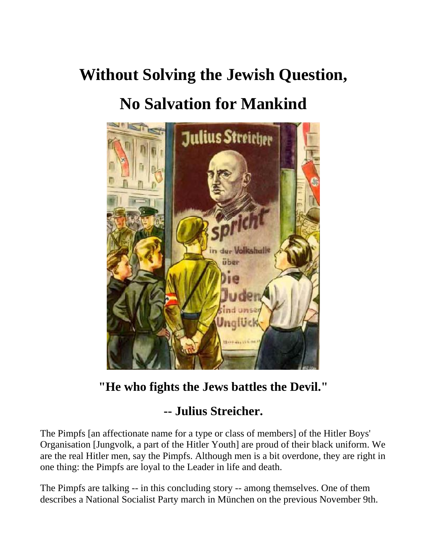# **Without Solving the Jewish Question, No Salvation for Mankind**



**"He who fights the Jews battles the Devil."** 

## **-- Julius Streicher.**

The Pimpfs [an affectionate name for a type or class of members] of the Hitler Boys' Organisation [Jungvolk, a part of the Hitler Youth] are proud of their black uniform. We are the real Hitler men, say the Pimpfs. Although men is a bit overdone, they are right in one thing: the Pimpfs are loyal to the Leader in life and death.

The Pimpfs are talking -- in this concluding story -- among themselves. One of them describes a National Socialist Party march in München on the previous November 9th.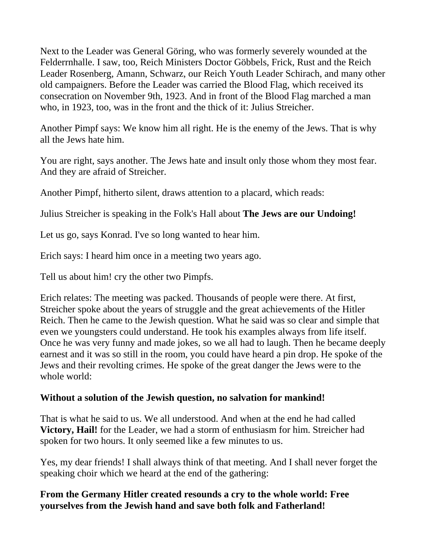Next to the Leader was General Göring, who was formerly severely wounded at the Felderrnhalle. I saw, too, Reich Ministers Doctor Göbbels, Frick, Rust and the Reich Leader Rosenberg, Amann, Schwarz, our Reich Youth Leader Schirach, and many other old campaigners. Before the Leader was carried the Blood Flag, which received its consecration on November 9th, 1923. And in front of the Blood Flag marched a man who, in 1923, too, was in the front and the thick of it: Julius Streicher.

Another Pimpf says: We know him all right. He is the enemy of the Jews. That is why all the Jews hate him.

You are right, says another. The Jews hate and insult only those whom they most fear. And they are afraid of Streicher.

Another Pimpf, hitherto silent, draws attention to a placard, which reads:

Julius Streicher is speaking in the Folk's Hall about **The Jews are our Undoing!**

Let us go, says Konrad. I've so long wanted to hear him.

Erich says: I heard him once in a meeting two years ago.

Tell us about him! cry the other two Pimpfs.

Erich relates: The meeting was packed. Thousands of people were there. At first, Streicher spoke about the years of struggle and the great achievements of the Hitler Reich. Then he came to the Jewish question. What he said was so clear and simple that even we youngsters could understand. He took his examples always from life itself. Once he was very funny and made jokes, so we all had to laugh. Then he became deeply earnest and it was so still in the room, you could have heard a pin drop. He spoke of the Jews and their revolting crimes. He spoke of the great danger the Jews were to the whole world:

### **Without a solution of the Jewish question, no salvation for mankind!**

That is what he said to us. We all understood. And when at the end he had called **Victory, Hail!** for the Leader, we had a storm of enthusiasm for him. Streicher had spoken for two hours. It only seemed like a few minutes to us.

Yes, my dear friends! I shall always think of that meeting. And I shall never forget the speaking choir which we heard at the end of the gathering:

### **From the Germany Hitler created resounds a cry to the whole world: Free yourselves from the Jewish hand and save both folk and Fatherland!**